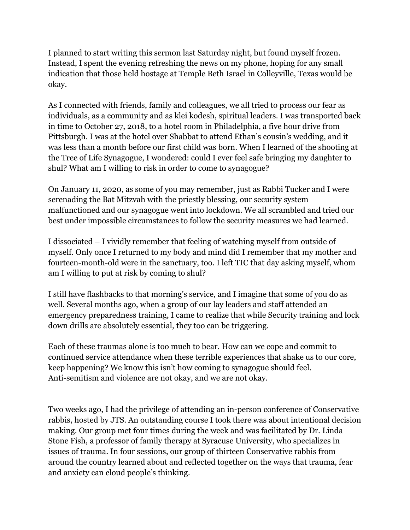I planned to start writing this sermon last Saturday night, but found myself frozen. Instead, I spent the evening refreshing the news on my phone, hoping for any small indication that those held hostage at Temple Beth Israel in Colleyville, Texas would be okay.

As I connected with friends, family and colleagues, we all tried to process our fear as individuals, as a community and as klei kodesh, spiritual leaders. I was transported back in time to October 27, 2018, to a hotel room in Philadelphia, a five hour drive from Pittsburgh. I was at the hotel over Shabbat to attend Ethan's cousin's wedding, and it was less than a month before our first child was born. When I learned of the shooting at the Tree of Life Synagogue, I wondered: could I ever feel safe bringing my daughter to shul? What am I willing to risk in order to come to synagogue?

On January 11, 2020, as some of you may remember, just as Rabbi Tucker and I were serenading the Bat Mitzvah with the priestly blessing, our security system malfunctioned and our synagogue went into lockdown. We all scrambled and tried our best under impossible circumstances to follow the security measures we had learned.

I dissociated – I vividly remember that feeling of watching myself from outside of myself. Only once I returned to my body and mind did I remember that my mother and fourteen-month-old were in the sanctuary, too. I left TIC that day asking myself, whom am I willing to put at risk by coming to shul?

I still have flashbacks to that morning's service, and I imagine that some of you do as well. Several months ago, when a group of our lay leaders and staff attended an emergency preparedness training, I came to realize that while Security training and lock down drills are absolutely essential, they too can be triggering.

Each of these traumas alone is too much to bear. How can we cope and commit to continued service attendance when these terrible experiences that shake us to our core, keep happening? We know this isn't how coming to synagogue should feel. Anti-semitism and violence are not okay, and we are not okay.

Two weeks ago, I had the privilege of attending an in-person conference of Conservative rabbis, hosted by JTS. An outstanding course I took there was about intentional decision making. Our group met four times during the week and was facilitated by Dr. Linda Stone Fish, a professor of family therapy at Syracuse University, who specializes in issues of trauma. In four sessions, our group of thirteen Conservative rabbis from around the country learned about and reflected together on the ways that trauma, fear and anxiety can cloud people's thinking.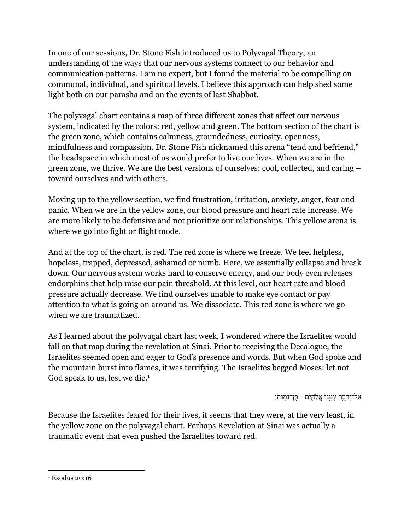In one of our sessions, Dr. Stone Fish introduced us to Polyvagal Theory, an understanding of the ways that our nervous systems connect to our behavior and communication patterns. I am no expert, but I found the material to be compelling on communal, individual, and spiritual levels. I believe this approach can help shed some light both on our parasha and on the events of last Shabbat.

The polyvagal chart contains a map of three different zones that affect our nervous system, indicated by the colors: red, yellow and green. The bottom section of the chart is the green zone, which contains calmness, groundedness, curiosity, openness, mindfulness and compassion. Dr. Stone Fish nicknamed this arena "tend and befriend," the headspace in which most of us would prefer to live our lives. When we are in the green zone, we thrive. We are the best versions of ourselves: cool, collected, and caring – toward ourselves and with others.

Moving up to the yellow section, we find frustration, irritation, anxiety, anger, fear and panic. When we are in the yellow zone, our blood pressure and heart rate increase. We are more likely to be defensive and not prioritize our relationships. This yellow arena is where we go into fight or flight mode.

And at the top of the chart, is red. The red zone is where we freeze. We feel helpless, hopeless, trapped, depressed, ashamed or numb. Here, we essentially collapse and break down. Our nervous system works hard to conserve energy, and our body even releases endorphins that help raise our pain threshold. At this level, our heart rate and blood pressure actually decrease. We find ourselves unable to make eye contact or pay attention to what is going on around us. We dissociate. This red zone is where we go when we are traumatized.

As I learned about the polyvagal chart last week, I wondered where the Israelites would fall on that map during the revelation at Sinai. Prior to receiving the Decalogue, the Israelites seemed open and eager to God's presence and words. But when God spoke and the mountain burst into flames, it was terrifying. The Israelites begged Moses: let not God speak to us, lest we die.<sup>1</sup>

ַאַל־יְדַבֵּר עִמֲנוּ אֱלֹהִים - פֶּן־נָמִוּת:

Because the Israelites feared for their lives, it seems that they were, at the very least, in the yellow zone on the polyvagal chart. Perhaps Revelation at Sinai was actually a traumatic event that even pushed the Israelites toward red.

<sup>&</sup>lt;sup>1</sup> Exodus 20:16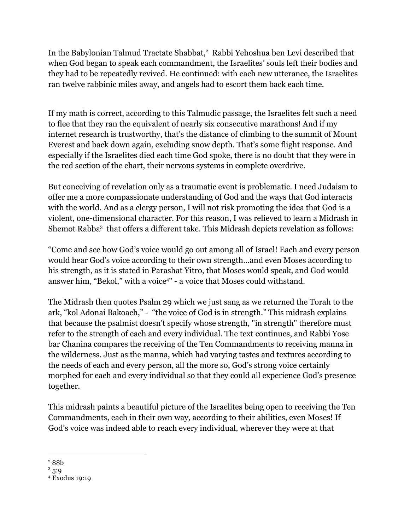In the Babylonian Talmud Tractate Shabbat,<sup>2</sup> Rabbi Yehoshua ben Levi described that when God began to speak each commandment, the Israelites' souls left their bodies and they had to be repeatedly revived. He continued: with each new utterance, the Israelites ran twelve rabbinic miles away, and angels had to escort them back each time.

If my math is correct, according to this Talmudic passage, the Israelites felt such a need to flee that they ran the equivalent of nearly six consecutive marathons! And if my internet research is trustworthy, that's the distance of climbing to the summit of Mount Everest and back down again, excluding snow depth. That's some flight response. And especially if the Israelites died each time God spoke, there is no doubt that they were in the red section of the chart, their nervous systems in complete overdrive.

But conceiving of revelation only as a traumatic event is problematic. I need Judaism to offer me a more compassionate understanding of God and the ways that God interacts with the world. And as a clergy person, I will not risk promoting the idea that God is a violent, one-dimensional character. For this reason, I was relieved to learn a Midrash in Shemot Rabba<sup>3</sup> that offers a different take. This Midrash depicts revelation as follows:

"Come and see how God's voice would go out among all of Israel! Each and every person would hear God's voice according to their own strength…and even Moses according to his strength, as it is stated in Parashat Yitro, that Moses would speak, and God would answer him, "Bekol," with a voice<sup>4"</sup> - a voice that Moses could withstand.

The Midrash then quotes Psalm 29 which we just sang as we returned the Torah to the ark, "kol Adonai Bakoach," - "the voice of God is in strength." This midrash explains that because the psalmist doesn't specify whose strength, "in strength" therefore must refer to the strength of each and every individual. The text continues, and Rabbi Yose bar Chanina compares the receiving of the Ten Commandments to receiving manna in the wilderness. Just as the manna, which had varying tastes and textures according to the needs of each and every person, all the more so, God's strong voice certainly morphed for each and every individual so that they could all experience God's presence together.

This midrash paints a beautiful picture of the Israelites being open to receiving the Ten Commandments, each in their own way, according to their abilities, even Moses! If God's voice was indeed able to reach every individual, wherever they were at that

<sup>2</sup> 88b

 $3\,5:9$ 

<sup>4</sup> Exodus 19:19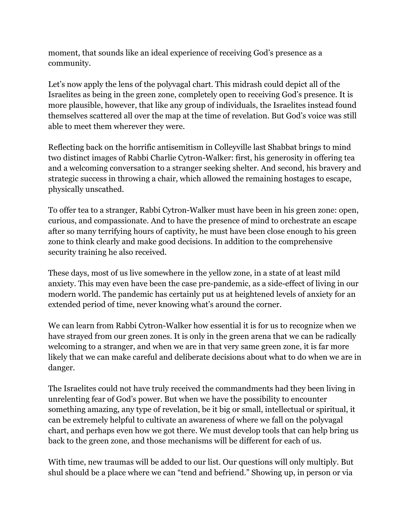moment, that sounds like an ideal experience of receiving God's presence as a community.

Let's now apply the lens of the polyvagal chart. This midrash could depict all of the Israelites as being in the green zone, completely open to receiving God's presence. It is more plausible, however, that like any group of individuals, the Israelites instead found themselves scattered all over the map at the time of revelation. But God's voice was still able to meet them wherever they were.

Reflecting back on the horrific antisemitism in Colleyville last Shabbat brings to mind two distinct images of Rabbi Charlie Cytron-Walker: first, his generosity in offering tea and a welcoming conversation to a stranger seeking shelter. And second, his bravery and strategic success in throwing a chair, which allowed the remaining hostages to escape, physically unscathed.

To offer tea to a stranger, Rabbi Cytron-Walker must have been in his green zone: open, curious, and compassionate. And to have the presence of mind to orchestrate an escape after so many terrifying hours of captivity, he must have been close enough to his green zone to think clearly and make good decisions. In addition to the comprehensive security training he also received.

These days, most of us live somewhere in the yellow zone, in a state of at least mild anxiety. This may even have been the case pre-pandemic, as a side-effect of living in our modern world. The pandemic has certainly put us at heightened levels of anxiety for an extended period of time, never knowing what's around the corner.

We can learn from Rabbi Cytron-Walker how essential it is for us to recognize when we have strayed from our green zones. It is only in the green arena that we can be radically welcoming to a stranger, and when we are in that very same green zone, it is far more likely that we can make careful and deliberate decisions about what to do when we are in danger.

The Israelites could not have truly received the commandments had they been living in unrelenting fear of God's power. But when we have the possibility to encounter something amazing, any type of revelation, be it big or small, intellectual or spiritual, it can be extremely helpful to cultivate an awareness of where we fall on the polyvagal chart, and perhaps even how we got there. We must develop tools that can help bring us back to the green zone, and those mechanisms will be different for each of us.

With time, new traumas will be added to our list. Our questions will only multiply. But shul should be a place where we can "tend and befriend." Showing up, in person or via